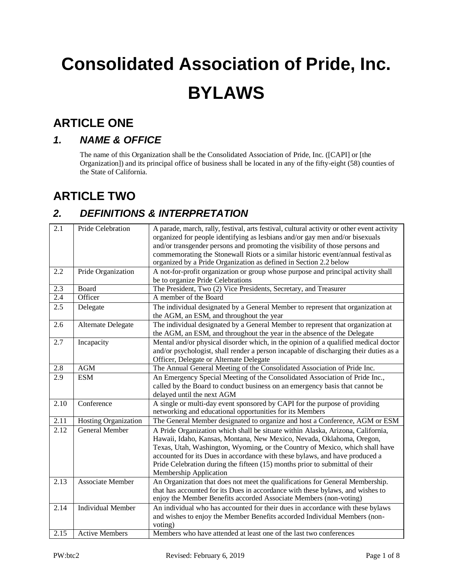# **Consolidated Association of Pride, Inc. BYLAWS**

# **ARTICLE ONE**

### *1. NAME & OFFICE*

The name of this Organization shall be the Consolidated Association of Pride, Inc. ([CAPI] or [the Organization]) and its principal office of business shall be located in any of the fifty-eight (58) counties of the State of California.

# **ARTICLE TWO**

### *2. DEFINITIONS & INTERPRETATION*

| 2.1  | Pride Celebration        | A parade, march, rally, festival, arts festival, cultural activity or other event activity<br>organized for people identifying as lesbians and/or gay men and/or bisexuals<br>and/or transgender persons and promoting the visibility of those persons and<br>commemorating the Stonewall Riots or a similar historic event/annual festival as<br>organized by a Pride Organization as defined in Section 2.2 below               |
|------|--------------------------|-----------------------------------------------------------------------------------------------------------------------------------------------------------------------------------------------------------------------------------------------------------------------------------------------------------------------------------------------------------------------------------------------------------------------------------|
| 2.2  | Pride Organization       | A not-for-profit organization or group whose purpose and principal activity shall<br>be to organize Pride Celebrations                                                                                                                                                                                                                                                                                                            |
| 2.3  | Board                    | The President, Two (2) Vice Presidents, Secretary, and Treasurer                                                                                                                                                                                                                                                                                                                                                                  |
| 2.4  | Officer                  | A member of the Board                                                                                                                                                                                                                                                                                                                                                                                                             |
| 2.5  | Delegate                 | The individual designated by a General Member to represent that organization at<br>the AGM, an ESM, and throughout the year                                                                                                                                                                                                                                                                                                       |
| 2.6  | Alternate Delegate       | The individual designated by a General Member to represent that organization at<br>the AGM, an ESM, and throughout the year in the absence of the Delegate                                                                                                                                                                                                                                                                        |
| 2.7  | Incapacity               | Mental and/or physical disorder which, in the opinion of a qualified medical doctor<br>and/or psychologist, shall render a person incapable of discharging their duties as a<br>Officer, Delegate or Alternate Delegate                                                                                                                                                                                                           |
| 2.8  | <b>AGM</b>               | The Annual General Meeting of the Consolidated Association of Pride Inc.                                                                                                                                                                                                                                                                                                                                                          |
| 2.9  | <b>ESM</b>               | An Emergency Special Meeting of the Consolidated Association of Pride Inc.,<br>called by the Board to conduct business on an emergency basis that cannot be<br>delayed until the next AGM                                                                                                                                                                                                                                         |
| 2.10 | Conference               | A single or multi-day event sponsored by CAPI for the purpose of providing<br>networking and educational opportunities for its Members                                                                                                                                                                                                                                                                                            |
| 2.11 | Hosting Organization     | The General Member designated to organize and host a Conference, AGM or ESM                                                                                                                                                                                                                                                                                                                                                       |
| 2.12 | <b>General Member</b>    | A Pride Organization which shall be situate within Alaska, Arizona, California,<br>Hawaii, Idaho, Kansas, Montana, New Mexico, Nevada, Oklahoma, Oregon,<br>Texas, Utah, Washington, Wyoming, or the Country of Mexico, which shall have<br>accounted for its Dues in accordance with these bylaws, and have produced a<br>Pride Celebration during the fifteen (15) months prior to submittal of their<br>Membership Application |
| 2.13 | Associate Member         | An Organization that does not meet the qualifications for General Membership.<br>that has accounted for its Dues in accordance with these bylaws, and wishes to<br>enjoy the Member Benefits accorded Associate Members (non-voting)                                                                                                                                                                                              |
| 2.14 | <b>Individual Member</b> | An individual who has accounted for their dues in accordance with these bylaws<br>and wishes to enjoy the Member Benefits accorded Individual Members (non-<br>voting)                                                                                                                                                                                                                                                            |
| 2.15 | <b>Active Members</b>    | Members who have attended at least one of the last two conferences                                                                                                                                                                                                                                                                                                                                                                |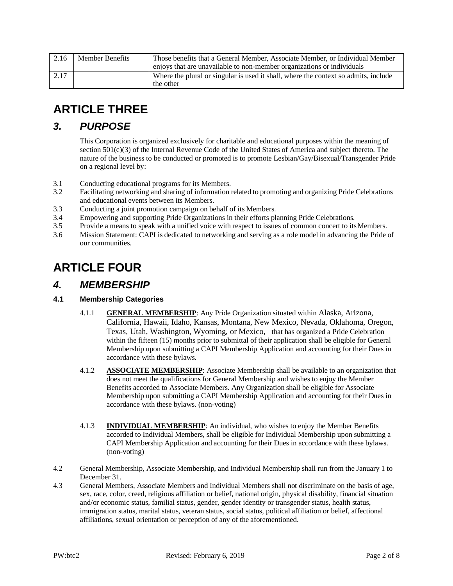| 2.16 | Member Benefits | Those benefits that a General Member, Associate Member, or Individual Member                     |
|------|-----------------|--------------------------------------------------------------------------------------------------|
|      |                 | enjoys that are unavailable to non-member organizations or individuals                           |
| 2.17 |                 | Where the plural or singular is used it shall, where the context so admits, include<br>the other |

# **ARTICLE THREE**

### *3. PURPOSE*

This Corporation is organized exclusively for charitable and educational purposes within the meaning of section 501(c)(3) of the Internal Revenue Code of the United States of America and subject thereto. The nature of the business to be conducted or promoted is to promote Lesbian/Gay/Bisexual/Transgender Pride on a regional level by:

- 3.1 Conducting educational programs for its Members.
- 3.2 Facilitating networking and sharing of information related to promoting and organizing Pride Celebrations and educational events between its Members.
- 3.3 Conducting a joint promotion campaign on behalf of its Members.
- 3.4 Empowering and supporting Pride Organizations in their efforts planning Pride Celebrations.
- 3.5 Provide a means to speak with a unified voice with respect to issues of common concert to itsMembers.
- 3.6 Mission Statement: CAPI is dedicated to networking and serving as a role model in advancing the Pride of our communities.

# **ARTICLE FOUR**

### *4. MEMBERSHIP*

#### **4.1 Membership Categories**

- 4.1.1 **GENERAL MEMBERSHIP**: Any Pride Organization situated within Alaska, Arizona, California, Hawaii, Idaho, Kansas, Montana, New Mexico, Nevada, Oklahoma, Oregon, Texas, Utah, Washington, Wyoming, or Mexico, that has organized a Pride Celebration within the fifteen (15) months prior to submittal of their application shall be eligible for General Membership upon submitting a CAPI Membership Application and accounting for their Dues in accordance with these bylaws.
- 4.1.2 **ASSOCIATE MEMBERSHIP**: Associate Membership shall be available to an organization that does not meet the qualifications for General Membership and wishes to enjoy the Member Benefits accorded to Associate Members. Any Organization shall be eligible for Associate Membership upon submitting a CAPI Membership Application and accounting for their Dues in accordance with these bylaws. (non-voting)
- 4.1.3 **INDIVIDUAL MEMBERSHIP**: An individual, who wishes to enjoy the Member Benefits accorded to Individual Members, shall be eligible for Individual Membership upon submitting a CAPI Membership Application and accounting for their Dues in accordance with these bylaws. (non-voting)
- 4.2 General Membership, Associate Membership, and Individual Membership shall run from the January 1 to December 31.
- 4.3 General Members, Associate Members and Individual Members shall not discriminate on the basis of age, sex, race, color, creed, religious affiliation or belief, national origin, physical disability, financial situation and/or economic status, familial status, gender, gender identity or transgender status, health status, immigration status, marital status, veteran status, social status, political affiliation or belief, affectional affiliations, sexual orientation or perception of any of the aforementioned.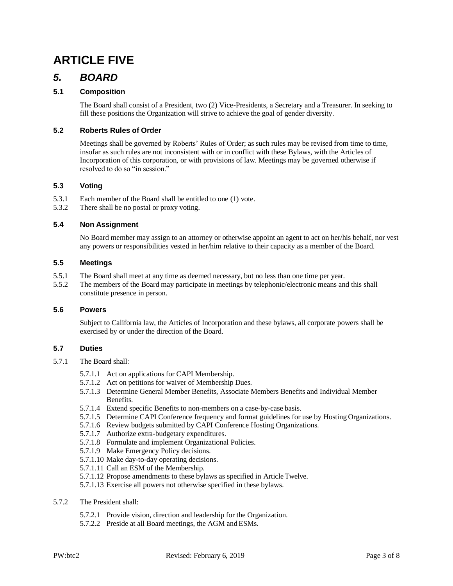# **ARTICLE FIVE**

### *5. BOARD*

#### **5.1 Composition**

The Board shall consist of a President, two (2) Vice-Presidents, a Secretary and a Treasurer. In seeking to fill these positions the Organization will strive to achieve the goal of gender diversity.

#### **5.2 Roberts Rules of Order**

Meetings shall be governed by Roberts' Rules of Order; as such rules may be revised from time to time, insofar as such rules are not inconsistent with or in conflict with these Bylaws, with the Articles of Incorporation of this corporation, or with provisions of law. Meetings may be governed otherwise if resolved to do so "in session."

#### **5.3 Voting**

- 5.3.1 Each member of the Board shall be entitled to one (1) vote.
- 5.3.2 There shall be no postal or proxy voting.

#### **5.4 Non Assignment**

No Board member may assign to an attorney or otherwise appoint an agent to act on her/his behalf, nor vest any powers or responsibilities vested in her/him relative to their capacity as a member of the Board.

#### **5.5 Meetings**

- 5.5.1 The Board shall meet at any time as deemed necessary, but no less than one time per year.
- 5.5.2 The members of the Board may participate in meetings by telephonic/electronic means and this shall constitute presence in person.

#### **5.6 Powers**

Subject to California law, the Articles of Incorporation and these bylaws, all corporate powers shall be exercised by or under the direction of the Board.

#### **5.7 Duties**

- 5.7.1 The Board shall:
	- 5.7.1.1 Act on applications for CAPI Membership.
	- 5.7.1.2 Act on petitions for waiver of Membership Dues.
	- 5.7.1.3 Determine General Member Benefits, Associate Members Benefits and Individual Member Benefits.
	- 5.7.1.4 Extend specific Benefits to non-members on a case-by-case basis.
	- 5.7.1.5 Determine CAPI Conference frequency and format guidelines for use by Hosting Organizations.
	- 5.7.1.6 Review budgets submitted by CAPI Conference Hosting Organizations.
	- 5.7.1.7 Authorize extra-budgetary expenditures.
	- 5.7.1.8 Formulate and implement Organizational Policies.
	- 5.7.1.9 Make Emergency Policy decisions.
	- 5.7.1.10 Make day-to-day operating decisions.
	- 5.7.1.11 Call an ESM of the Membership.
	- 5.7.1.12 Propose amendments to these bylaws as specified in Article Twelve.
	- 5.7.1.13 Exercise all powers not otherwise specified in these bylaws.
- 5.7.2 The President shall:
	- 5.7.2.1 Provide vision, direction and leadership for the Organization.
	- 5.7.2.2 Preside at all Board meetings, the AGM and ESMs.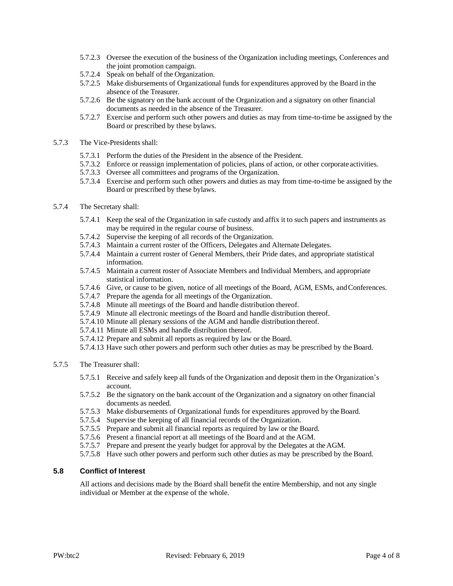- 5.7.2.3 Oversee the execution of the business of the Organization including meetings, Conferences and the joint promotion campaign.
- 5.7.2.4 Speak on behalf of the Organization.
- 5.7.2.5 Make disbursements of Organizational funds for expenditures approved by the Board in the absence of the Treasurer.
- 5.7.2.6 Be the signatory on the bank account of the Organization and a signatory on other financial documents as needed in the absence of the Treasurer.
- 5.7.2.7 Exercise and perform such other powers and duties as may from time-to-time be assigned by the Board or prescribed by these bylaws.
- 5.7.3 The Vice-Presidents shall:
	- 5.7.3.1 Perform the duties of the President in the absence of the President.
	- 5.7.3.2 Enforce or reassign implementation of policies, plans of action, or other corporate activities.
	- 5.7.3.3 Oversee all committees and programs of the Organization.
	- 5.7.3.4 Exercise and perform such other powers and duties as may from time-to-time be assigned by the Board or prescribed by these bylaws.
- 5.7.4 The Secretary shall:
	- 5.7.4.1 Keep the seal of the Organization in safe custody and affix it to such papers and instruments as may be required in the regular course of business.
	- 5.7.4.2 Supervise the keeping of all records of the Organization.
	- 5.7.4.3 Maintain a current roster of the Officers, Delegates and Alternate Delegates.
	- 5.7.4.4 Maintain a current roster of General Members, their Pride dates, and appropriate statistical information.
	- 5.7.4.5 Maintain a current roster of Associate Members and Individual Members, and appropriate statistical information.
	- 5.7.4.6 Give, or cause to be given, notice of all meetings of the Board, AGM, ESMs, andConferences.
	- 5.7.4.7 Prepare the agenda for all meetings of the Organization.
	- 5.7.4.8 Minute all meetings of the Board and handle distribution thereof.
	- 5.7.4.9 Minute all electronic meetings of the Board and handle distribution thereof.
	- 5.7.4.10 Minute all plenary sessions of the AGM and handle distribution thereof.
	- 5.7.4.11 Minute all ESMs and handle distribution thereof.
	- 5.7.4.12 Prepare and submit all reports as required by law or the Board.
	- 5.7.4.13 Have such other powers and perform such other duties as may be prescribed by the Board.
- 5.7.5 The Treasurer shall:
	- 5.7.5.1 Receive and safely keep all funds of the Organization and deposit them in the Organization's account.
	- 5.7.5.2 Be the signatory on the bank account of the Organization and a signatory on other financial documents as needed.
	- 5.7.5.3 Make disbursements of Organizational funds for expenditures approved by the Board.
	- 5.7.5.4 Supervise the keeping of all financial records of the Organization.
	- 5.7.5.5 Prepare and submit all financial reports as required by law or the Board.
	- 5.7.5.6 Present a financial report at all meetings of the Board and at the AGM.
	- 5.7.5.7 Prepare and present the yearly budget for approval by the Delegates at the AGM.
	- 5.7.5.8 Have such other powers and perform such other duties as may be prescribed by the Board.

#### **5.8 Conflict of Interest**

All actions and decisions made by the Board shall benefit the entire Membership, and not any single individual or Member at the expense of the whole.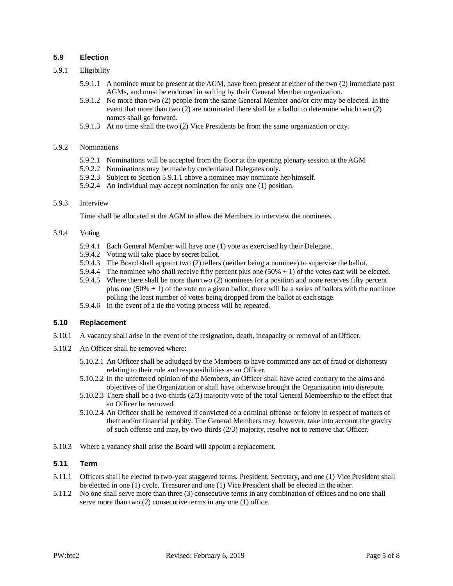#### **5.9 Election**

- 5.9.1 Eligibility
	- 5.9.1.1 A nominee must be present at the AGM, have been present at either of the two (2) immediate past AGMs, and must be endorsed in writing by their General Member organization.
	- 5.9.1.2 No more than two (2) people from the same General Member and/or city may be elected. In the event that more than two (2) are nominated there shall be a ballot to determine which two (2) names shall go forward.
	- 5.9.1.3 At no time shall the two (2) Vice Presidents be from the same organization or city.

#### 5.9.2 Nominations

- 5.9.2.1 Nominations will be accepted from the floor at the opening plenary session at the AGM.
- 5.9.2.2 Nominations may be made by credentialed Delegates only.
- 5.9.2.3 Subject to Section 5.9.1.1 above a nominee may nominate her/himself.
- 5.9.2.4 An individual may accept nomination for only one (1) position.

#### 5.9.3 Interview

Time shall be allocated at the AGM to allow the Members to interview the nominees.

#### 5.9.4 Voting

- 5.9.4.1 Each General Member will have one (1) vote as exercised by their Delegate.
- 5.9.4.2 Voting will take place by secret ballot.
- 5.9.4.3 The Board shall appoint two (2) tellers (neither being a nominee) to supervise the ballot.
- 5.9.4.4 The nominee who shall receive fifty percent plus one  $(50% + 1)$  of the votes cast will be elected.
- 5.9.4.5 Where there shall be more than two (2) nominees for a position and none receives fifty percent plus one  $(50% + 1)$  of the vote on a given ballot, there will be a series of ballots with the nominee polling the least number of votes being dropped from the ballot at each stage.
- 5.9.4.6 In the event of a tie the voting process will be repeated.

#### **5.10 Replacement**

- 5.10.1 A vacancy shall arise in the event of the resignation, death, incapacity or removal of an Officer.
- 5.10.2 An Officer shall be removed where:
	- 5.10.2.1 An Officer shall be adjudged by the Members to have committed any act of fraud or dishonesty relating to their role and responsibilities as an Officer.
	- 5.10.2.2 In the unfettered opinion of the Members, an Officer shall have acted contrary to the aims and objectives of the Organization or shall have otherwise brought the Organization into disrepute.
	- 5.10.2.3 There shall be a two-thirds (2/3) majority vote of the total General Membership to the effect that an Officer be removed.
	- 5.10.2.4 An Officer shall be removed if convicted of a criminal offense or felony in respect of matters of theft and/or financial probity. The General Members may, however, take into account the gravity of such offense and may, by two-thirds  $(2/3)$  majority, resolve not to remove that Officer.
- 5.10.3 Where a vacancy shall arise the Board will appoint a replacement.

#### **5.11 Term**

- 5.11.1 Officers shall be elected to two-year staggered terms. President, Secretary, and one (1) Vice President shall be elected in one (1) cycle. Treasurer and one (1) Vice President shall be elected in the other.
- 5.11.2 No one shall serve more than three (3) consecutive terms in any combination of offices and no one shall serve more than two (2) consecutive terms in any one (1) office.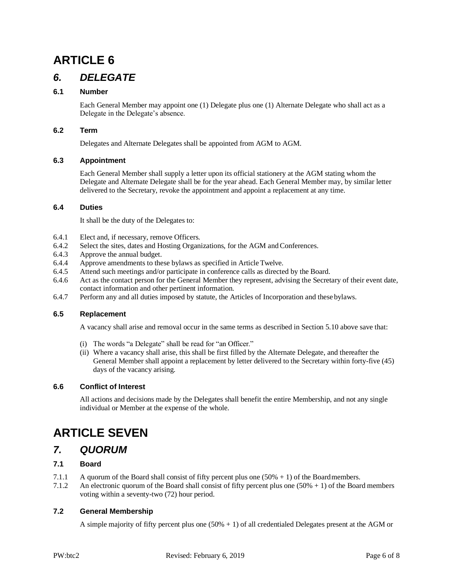# **ARTICLE 6**

### *6. DELEGATE*

#### **6.1 Number**

Each General Member may appoint one (1) Delegate plus one (1) Alternate Delegate who shall act as a Delegate in the Delegate's absence.

#### **6.2 Term**

Delegates and Alternate Delegates shall be appointed from AGM to AGM.

#### **6.3 Appointment**

Each General Member shall supply a letter upon its official stationery at the AGM stating whom the Delegate and Alternate Delegate shall be for the year ahead. Each General Member may, by similar letter delivered to the Secretary, revoke the appointment and appoint a replacement at any time.

#### **6.4 Duties**

It shall be the duty of the Delegates to:

- 6.4.1 Elect and, if necessary, remove Officers.
- 6.4.2 Select the sites, dates and Hosting Organizations, for the AGM andConferences.
- 6.4.3 Approve the annual budget.
- 6.4.4 Approve amendments to these bylaws as specified in Article Twelve.
- 6.4.5 Attend such meetings and/or participate in conference calls as directed by the Board.
- 6.4.6 Act as the contact person for the General Member they represent, advising the Secretary of their event date, contact information and other pertinent information.
- 6.4.7 Perform any and all duties imposed by statute, the Articles of Incorporation and these bylaws.

#### **6.5 Replacement**

A vacancy shall arise and removal occur in the same terms as described in Section 5.10 above save that:

- (i) The words "a Delegate" shall be read for "an Officer."
- (ii) Where a vacancy shall arise, this shall be first filled by the Alternate Delegate, and thereafter the General Member shall appoint a replacement by letter delivered to the Secretary within forty-five (45) days of the vacancy arising.

#### **6.6 Conflict of Interest**

All actions and decisions made by the Delegates shall benefit the entire Membership, and not any single individual or Member at the expense of the whole.

## **ARTICLE SEVEN**

### *7. QUORUM*

#### **7.1 Board**

- 7.1.1 A quorum of the Board shall consist of fifty percent plus one (50% + 1) of the Boardmembers.
- 7.1.2 An electronic quorum of the Board shall consist of fifty percent plus one (50% + 1) of the Board members voting within a seventy-two (72) hour period.

#### **7.2 General Membership**

A simple majority of fifty percent plus one  $(50% + 1)$  of all credentialed Delegates present at the AGM or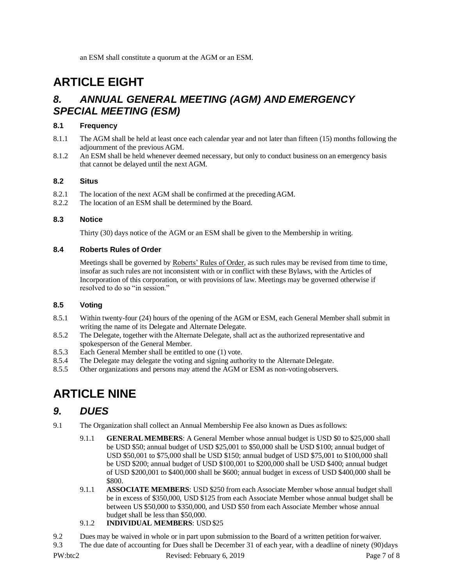# **ARTICLE EIGHT**

### *8. ANNUAL GENERAL MEETING (AGM) AND EMERGENCY SPECIAL MEETING (ESM)*

#### **8.1 Frequency**

- 8.1.1 The AGM shall be held at least once each calendar year and not later than fifteen (15) months following the adjournment of the previous AGM.
- 8.1.2 An ESM shall be held whenever deemed necessary, but only to conduct business on an emergency basis that cannot be delayed until the next AGM.

#### **8.2 Situs**

- 8.2.1 The location of the next AGM shall be confirmed at the precedingAGM.
- 8.2.2 The location of an ESM shall be determined by the Board.

#### **8.3 Notice**

Thirty (30) days notice of the AGM or an ESM shall be given to the Membership in writing.

#### **8.4 Roberts Rules of Order**

Meetings shall be governed by Roberts' Rules of Order, as such rules may be revised from time to time, insofar as such rules are not inconsistent with or in conflict with these Bylaws, with the Articles of Incorporation of this corporation, or with provisions of law. Meetings may be governed otherwise if resolved to do so "in session."

#### **8.5 Voting**

- 8.5.1 Within twenty-four (24) hours of the opening of the AGM or ESM, each General Member shall submit in writing the name of its Delegate and Alternate Delegate.
- 8.5.2 The Delegate, together with the Alternate Delegate, shall act as the authorized representative and spokesperson of the General Member.
- 8.5.3 Each General Member shall be entitled to one (1) vote.
- 8.5.4 The Delegate may delegate the voting and signing authority to the Alternate Delegate.
- 8.5.5 Other organizations and persons may attend the AGM or ESM as non-votingobservers.

# **ARTICLE NINE**

### *9. DUES*

- 9.1 The Organization shall collect an Annual Membership Fee also known as Dues asfollows:
	- 9.1.1 **GENERALMEMBERS**: A General Member whose annual budget is USD \$0 to \$25,000 shall be USD \$50; annual budget of USD \$25,001 to \$50,000 shall be USD \$100; annual budget of USD \$50,001 to \$75,000 shall be USD \$150; annual budget of USD \$75,001 to \$100,000 shall be USD \$200; annual budget of USD \$100,001 to \$200,000 shall be USD \$400; annual budget of USD \$200,001 to \$400,000 shall be \$600; annual budget in excess of USD \$400,000 shall be \$800.
	- 9.1.1 **ASSOCIATE MEMBERS**: USD \$250 from each Associate Member whose annual budget shall be in excess of \$350,000, USD \$125 from each Associate Member whose annual budget shall be between US \$50,000 to \$350,000, and USD \$50 from each Associate Member whose annual budget shall be less than \$50,000.
	- 9.1.2 **INDIVIDUAL MEMBERS**: USD \$25
- 9.2 Dues may be waived in whole or in part upon submission to the Board of a written petition forwaiver.

9.3 The due date of accounting for Dues shall be December 31 of each year, with a deadline of ninety (90)days